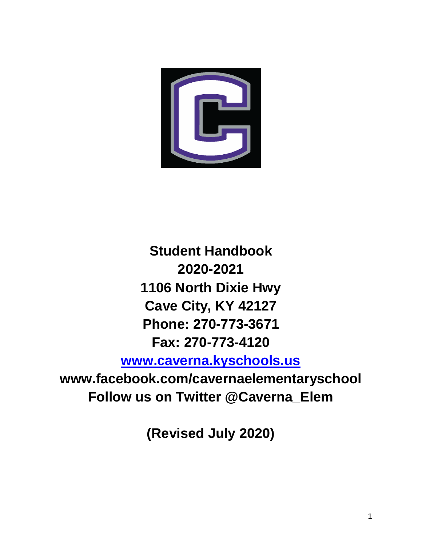

**Student Handbook 2020-2021 1106 North Dixie Hwy Cave City, KY 42127 Phone: 270-773-3671 Fax: 270-773-4120**

**[www.caverna.kyschools.us](http://www.caverna.kyschools.us/)**

**www.facebook.com/cavernaelementaryschool Follow us on Twitter @Caverna\_Elem**

**(Revised July 2020)**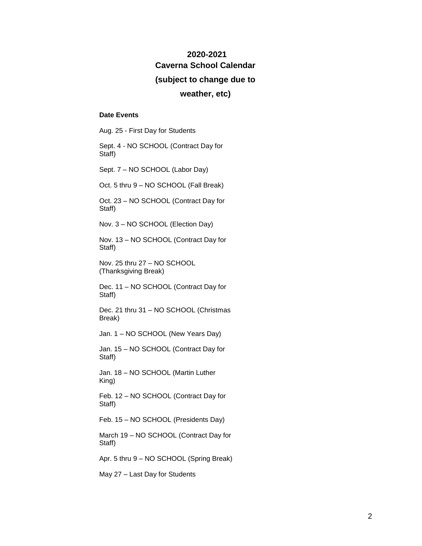# **2020-2021 Caverna School Calendar**

#### **(subject to change due to**

#### **weather, etc)**

#### **Date Events**

Aug. 25 - First Day for Students

Sept. 4 - NO SCHOOL (Contract Day for Staff)

Sept. 7 – NO SCHOOL (Labor Day)

Oct. 5 thru 9 – NO SCHOOL (Fall Break)

Oct. 23 – NO SCHOOL (Contract Day for Staff)

Nov. 3 – NO SCHOOL (Election Day)

Nov. 13 – NO SCHOOL (Contract Day for Staff)

Nov. 25 thru 27 – NO SCHOOL (Thanksgiving Break)

Dec. 11 – NO SCHOOL (Contract Day for Staff)

Dec. 21 thru 31 – NO SCHOOL (Christmas Break)

Jan. 1 – NO SCHOOL (New Years Day)

Jan. 15 – NO SCHOOL (Contract Day for Staff)

Jan. 18 – NO SCHOOL (Martin Luther King)

Feb. 12 – NO SCHOOL (Contract Day for Staff)

Feb. 15 – NO SCHOOL (Presidents Day)

March 19 – NO SCHOOL (Contract Day for Staff)

Apr. 5 thru 9 – NO SCHOOL (Spring Break)

May 27 – Last Day for Students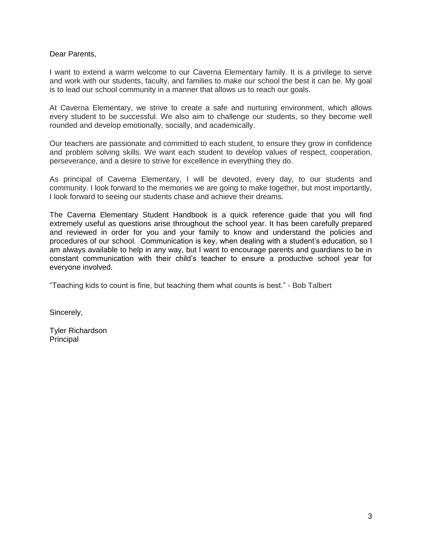Dear Parents,

I want to extend a warm welcome to our Caverna Elementary family. It is a privilege to serve and work with our students, faculty, and families to make our school the best it can be. My goal is to lead our school community in a manner that allows us to reach our goals.

At Caverna Elementary, we strive to create a safe and nurturing environment, which allows every student to be successful. We also aim to challenge our students, so they become well rounded and develop emotionally, socially, and academically.

Our teachers are passionate and committed to each student, to ensure they grow in confidence and problem solving skills. We want each student to develop values of respect, cooperation, perseverance, and a desire to strive for excellence in everything they do.

As principal of Caverna Elementary, I will be devoted, every day, to our students and community. I look forward to the memories we are going to make together, but most importantly, I look forward to seeing our students chase and achieve their dreams.

The Caverna Elementary Student Handbook is a quick reference guide that you will find extremely useful as questions arise throughout the school year. It has been carefully prepared and reviewed in order for you and your family to know and understand the policies and procedures of our school. Communication is key, when dealing with a student's education, so I am always available to help in any way, but I want to encourage parents and guardians to be in constant communication with their child's teacher to ensure a productive school year for everyone involved.

"Teaching kids to count is fine, but teaching them what counts is best." - Bob Talbert

Sincerely,

Tyler Richardson Principal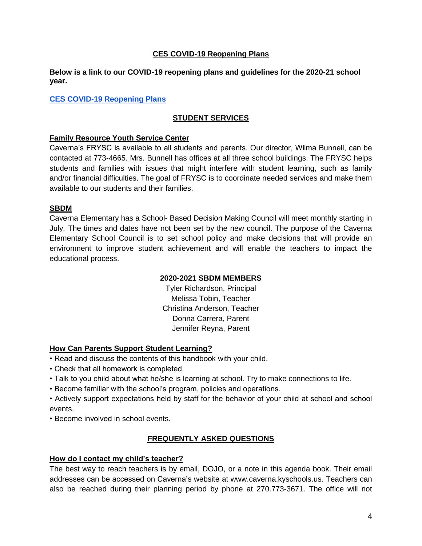## **CES COVID-19 Reopening Plans**

**Below is a link to our COVID-19 reopening plans and guidelines for the 2020-21 school year.**

## **[CES COVID-19 Reopening Plans](https://drive.google.com/file/d/1yj0eNl5TJl0XH260jAvE8Nu5YzVl6_v9/view?usp=sharing)**

# **STUDENT SERVICES**

### **Family Resource Youth Service Center**

Caverna's FRYSC is available to all students and parents. Our director, Wilma Bunnell, can be contacted at 773-4665. Mrs. Bunnell has offices at all three school buildings. The FRYSC helps students and families with issues that might interfere with student learning, such as family and/or financial difficulties. The goal of FRYSC is to coordinate needed services and make them available to our students and their families.

### **SBDM**

Caverna Elementary has a School- Based Decision Making Council will meet monthly starting in July. The times and dates have not been set by the new council. The purpose of the Caverna Elementary School Council is to set school policy and make decisions that will provide an environment to improve student achievement and will enable the teachers to impact the educational process.

### **2020-2021 SBDM MEMBERS**

Tyler Richardson, Principal Melissa Tobin, Teacher Christina Anderson, Teacher Donna Carrera, Parent Jennifer Reyna, Parent

### **How Can Parents Support Student Learning?**

- Read and discuss the contents of this handbook with your child.
- Check that all homework is completed.
- Talk to you child about what he/she is learning at school. Try to make connections to life.
- Become familiar with the school's program, policies and operations.
- Actively support expectations held by staff for the behavior of your child at school and school events.
- Become involved in school events.

# **FREQUENTLY ASKED QUESTIONS**

### **How do I contact my child's teacher?**

The best way to reach teachers is by email, DOJO, or a note in this agenda book. Their email addresses can be accessed on Caverna's website at www.caverna.kyschools.us. Teachers can also be reached during their planning period by phone at 270.773-3671. The office will not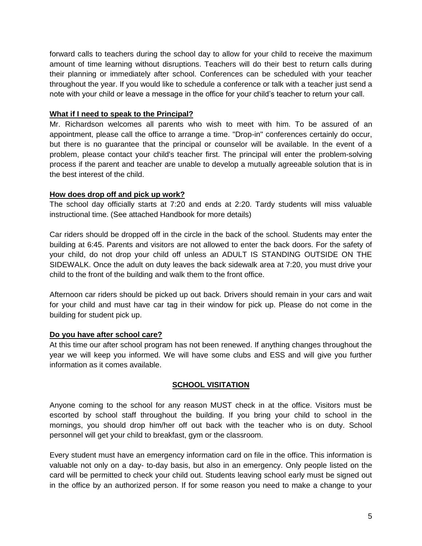forward calls to teachers during the school day to allow for your child to receive the maximum amount of time learning without disruptions. Teachers will do their best to return calls during their planning or immediately after school. Conferences can be scheduled with your teacher throughout the year. If you would like to schedule a conference or talk with a teacher just send a note with your child or leave a message in the office for your child's teacher to return your call.

## **What if I need to speak to the Principal?**

Mr. Richardson welcomes all parents who wish to meet with him. To be assured of an appointment, please call the office to arrange a time. "Drop-in" conferences certainly do occur, but there is no guarantee that the principal or counselor will be available. In the event of a problem, please contact your child's teacher first. The principal will enter the problem-solving process if the parent and teacher are unable to develop a mutually agreeable solution that is in the best interest of the child.

## **How does drop off and pick up work?**

The school day officially starts at 7:20 and ends at 2:20. Tardy students will miss valuable instructional time. (See attached Handbook for more details)

Car riders should be dropped off in the circle in the back of the school. Students may enter the building at 6:45. Parents and visitors are not allowed to enter the back doors. For the safety of your child, do not drop your child off unless an ADULT IS STANDING OUTSIDE ON THE SIDEWALK. Once the adult on duty leaves the back sidewalk area at 7:20, you must drive your child to the front of the building and walk them to the front office.

Afternoon car riders should be picked up out back. Drivers should remain in your cars and wait for your child and must have car tag in their window for pick up. Please do not come in the building for student pick up.

# **Do you have after school care?**

At this time our after school program has not been renewed. If anything changes throughout the year we will keep you informed. We will have some clubs and ESS and will give you further information as it comes available.

# **SCHOOL VISITATION**

Anyone coming to the school for any reason MUST check in at the office. Visitors must be escorted by school staff throughout the building. If you bring your child to school in the mornings, you should drop him/her off out back with the teacher who is on duty. School personnel will get your child to breakfast, gym or the classroom.

Every student must have an emergency information card on file in the office. This information is valuable not only on a day- to-day basis, but also in an emergency. Only people listed on the card will be permitted to check your child out. Students leaving school early must be signed out in the office by an authorized person. If for some reason you need to make a change to your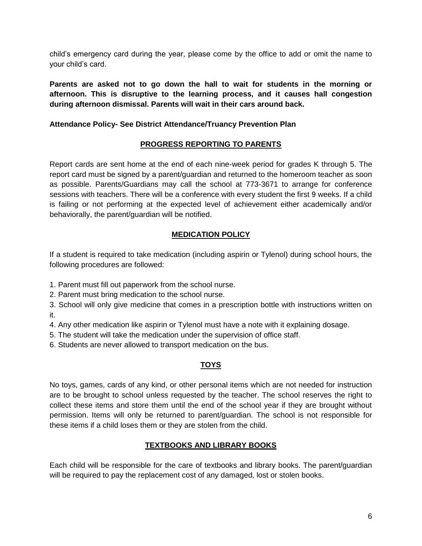child's emergency card during the year, please come by the office to add or omit the name to your child's card.

**Parents are asked not to go down the hall to wait for students in the morning or afternoon. This is disruptive to the learning process, and it causes hall congestion during afternoon dismissal. Parents will wait in their cars around back.** 

## **Attendance Policy- See District Attendance/Truancy Prevention Plan**

# **PROGRESS REPORTING TO PARENTS**

Report cards are sent home at the end of each nine-week period for grades K through 5. The report card must be signed by a parent/guardian and returned to the homeroom teacher as soon as possible. Parents/Guardians may call the school at 773-3671 to arrange for conference sessions with teachers. There will be a conference with every student the first 9 weeks. If a child is failing or not performing at the expected level of achievement either academically and/or behaviorally, the parent/guardian will be notified.

# **MEDICATION POLICY**

If a student is required to take medication (including aspirin or Tylenol) during school hours, the following procedures are followed:

1. Parent must fill out paperwork from the school nurse.

2. Parent must bring medication to the school nurse.

3. School will only give medicine that comes in a prescription bottle with instructions written on it.

4. Any other medication like aspirin or Tylenol must have a note with it explaining dosage.

5. The student will take the medication under the supervision of office staff.

6. Students are never allowed to transport medication on the bus.

# **TOYS**

No toys, games, cards of any kind, or other personal items which are not needed for instruction are to be brought to school unless requested by the teacher. The school reserves the right to collect these items and store them until the end of the school year if they are brought without permission. Items will only be returned to parent/guardian. The school is not responsible for these items if a child loses them or they are stolen from the child.

# **TEXTBOOKS AND LIBRARY BOOKS**

Each child will be responsible for the care of textbooks and library books. The parent/guardian will be required to pay the replacement cost of any damaged, lost or stolen books.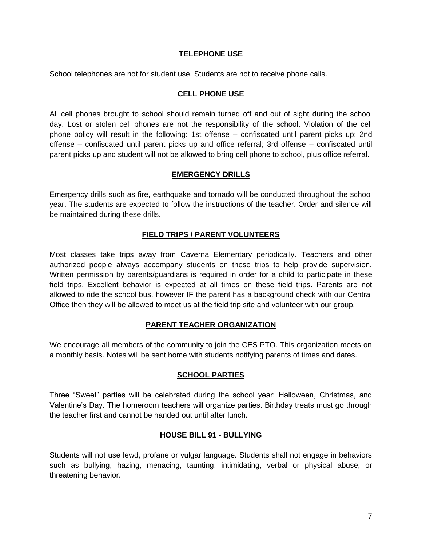## **TELEPHONE USE**

School telephones are not for student use. Students are not to receive phone calls.

## **CELL PHONE USE**

All cell phones brought to school should remain turned off and out of sight during the school day. Lost or stolen cell phones are not the responsibility of the school. Violation of the cell phone policy will result in the following: 1st offense – confiscated until parent picks up; 2nd offense – confiscated until parent picks up and office referral; 3rd offense – confiscated until parent picks up and student will not be allowed to bring cell phone to school, plus office referral.

### **EMERGENCY DRILLS**

Emergency drills such as fire, earthquake and tornado will be conducted throughout the school year. The students are expected to follow the instructions of the teacher. Order and silence will be maintained during these drills.

# **FIELD TRIPS / PARENT VOLUNTEERS**

Most classes take trips away from Caverna Elementary periodically. Teachers and other authorized people always accompany students on these trips to help provide supervision. Written permission by parents/guardians is required in order for a child to participate in these field trips. Excellent behavior is expected at all times on these field trips. Parents are not allowed to ride the school bus, however IF the parent has a background check with our Central Office then they will be allowed to meet us at the field trip site and volunteer with our group.

# **PARENT TEACHER ORGANIZATION**

We encourage all members of the community to join the CES PTO. This organization meets on a monthly basis. Notes will be sent home with students notifying parents of times and dates.

### **SCHOOL PARTIES**

Three "Sweet" parties will be celebrated during the school year: Halloween, Christmas, and Valentine's Day. The homeroom teachers will organize parties. Birthday treats must go through the teacher first and cannot be handed out until after lunch.

### **HOUSE BILL 91 - BULLYING**

Students will not use lewd, profane or vulgar language. Students shall not engage in behaviors such as bullying, hazing, menacing, taunting, intimidating, verbal or physical abuse, or threatening behavior.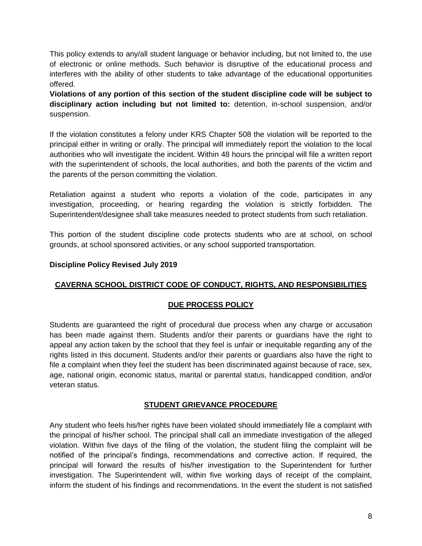This policy extends to any/all student language or behavior including, but not limited to, the use of electronic or online methods. Such behavior is disruptive of the educational process and interferes with the ability of other students to take advantage of the educational opportunities offered.

**Violations of any portion of this section of the student discipline code will be subject to disciplinary action including but not limited to:** detention, in-school suspension, and/or suspension.

If the violation constitutes a felony under KRS Chapter 508 the violation will be reported to the principal either in writing or orally. The principal will immediately report the violation to the local authorities who will investigate the incident. Within 48 hours the principal will file a written report with the superintendent of schools, the local authorities, and both the parents of the victim and the parents of the person committing the violation.

Retaliation against a student who reports a violation of the code, participates in any investigation, proceeding, or hearing regarding the violation is strictly forbidden. The Superintendent/designee shall take measures needed to protect students from such retaliation.

This portion of the student discipline code protects students who are at school, on school grounds, at school sponsored activities, or any school supported transportation.

## **Discipline Policy Revised July 2019**

# **CAVERNA SCHOOL DISTRICT CODE OF CONDUCT, RIGHTS, AND RESPONSIBILITIES**

# **DUE PROCESS POLICY**

Students are guaranteed the right of procedural due process when any charge or accusation has been made against them. Students and/or their parents or guardians have the right to appeal any action taken by the school that they feel is unfair or inequitable regarding any of the rights listed in this document. Students and/or their parents or guardians also have the right to file a complaint when they feel the student has been discriminated against because of race, sex, age, national origin, economic status, marital or parental status, handicapped condition, and/or veteran status.

# **STUDENT GRIEVANCE PROCEDURE**

Any student who feels his/her rights have been violated should immediately file a complaint with the principal of his/her school. The principal shall call an immediate investigation of the alleged violation. Within five days of the filing of the violation, the student filing the complaint will be notified of the principal's findings, recommendations and corrective action. If required, the principal will forward the results of his/her investigation to the Superintendent for further investigation. The Superintendent will, within five working days of receipt of the complaint, inform the student of his findings and recommendations. In the event the student is not satisfied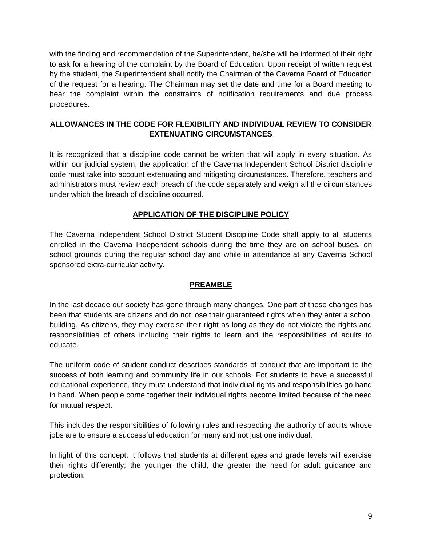with the finding and recommendation of the Superintendent, he/she will be informed of their right to ask for a hearing of the complaint by the Board of Education. Upon receipt of written request by the student, the Superintendent shall notify the Chairman of the Caverna Board of Education of the request for a hearing. The Chairman may set the date and time for a Board meeting to hear the complaint within the constraints of notification requirements and due process procedures.

# **ALLOWANCES IN THE CODE FOR FLEXIBILITY AND INDIVIDUAL REVIEW TO CONSIDER EXTENUATING CIRCUMSTANCES**

It is recognized that a discipline code cannot be written that will apply in every situation. As within our judicial system, the application of the Caverna Independent School District discipline code must take into account extenuating and mitigating circumstances. Therefore, teachers and administrators must review each breach of the code separately and weigh all the circumstances under which the breach of discipline occurred.

## **APPLICATION OF THE DISCIPLINE POLICY**

The Caverna Independent School District Student Discipline Code shall apply to all students enrolled in the Caverna Independent schools during the time they are on school buses, on school grounds during the regular school day and while in attendance at any Caverna School sponsored extra-curricular activity.

### **PREAMBLE**

In the last decade our society has gone through many changes. One part of these changes has been that students are citizens and do not lose their guaranteed rights when they enter a school building. As citizens, they may exercise their right as long as they do not violate the rights and responsibilities of others including their rights to learn and the responsibilities of adults to educate.

The uniform code of student conduct describes standards of conduct that are important to the success of both learning and community life in our schools. For students to have a successful educational experience, they must understand that individual rights and responsibilities go hand in hand. When people come together their individual rights become limited because of the need for mutual respect.

This includes the responsibilities of following rules and respecting the authority of adults whose jobs are to ensure a successful education for many and not just one individual.

In light of this concept, it follows that students at different ages and grade levels will exercise their rights differently; the younger the child, the greater the need for adult guidance and protection.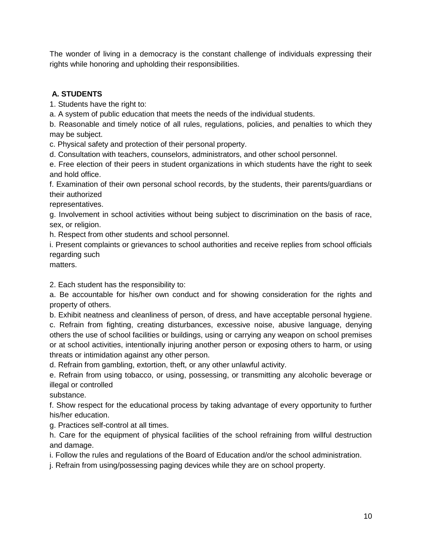The wonder of living in a democracy is the constant challenge of individuals expressing their rights while honoring and upholding their responsibilities.

# **A. STUDENTS**

1. Students have the right to:

a. A system of public education that meets the needs of the individual students.

b. Reasonable and timely notice of all rules, regulations, policies, and penalties to which they may be subject.

c. Physical safety and protection of their personal property.

d. Consultation with teachers, counselors, administrators, and other school personnel.

e. Free election of their peers in student organizations in which students have the right to seek and hold office.

f. Examination of their own personal school records, by the students, their parents/guardians or their authorized

representatives.

g. Involvement in school activities without being subject to discrimination on the basis of race, sex, or religion.

h. Respect from other students and school personnel.

i. Present complaints or grievances to school authorities and receive replies from school officials regarding such

matters.

2. Each student has the responsibility to:

a. Be accountable for his/her own conduct and for showing consideration for the rights and property of others.

b. Exhibit neatness and cleanliness of person, of dress, and have acceptable personal hygiene.

c. Refrain from fighting, creating disturbances, excessive noise, abusive language, denying others the use of school facilities or buildings, using or carrying any weapon on school premises or at school activities, intentionally injuring another person or exposing others to harm, or using threats or intimidation against any other person.

d. Refrain from gambling, extortion, theft, or any other unlawful activity.

e. Refrain from using tobacco, or using, possessing, or transmitting any alcoholic beverage or illegal or controlled

substance.

f. Show respect for the educational process by taking advantage of every opportunity to further his/her education.

g. Practices self-control at all times.

h. Care for the equipment of physical facilities of the school refraining from willful destruction and damage.

i. Follow the rules and regulations of the Board of Education and/or the school administration.

j. Refrain from using/possessing paging devices while they are on school property.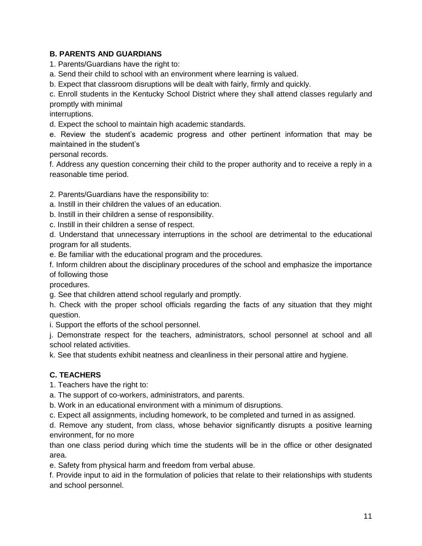# **B. PARENTS AND GUARDIANS**

1. Parents/Guardians have the right to:

a. Send their child to school with an environment where learning is valued.

b. Expect that classroom disruptions will be dealt with fairly, firmly and quickly.

c. Enroll students in the Kentucky School District where they shall attend classes regularly and promptly with minimal

interruptions.

d. Expect the school to maintain high academic standards.

e. Review the student's academic progress and other pertinent information that may be maintained in the student's

personal records.

f. Address any question concerning their child to the proper authority and to receive a reply in a reasonable time period.

2. Parents/Guardians have the responsibility to:

a. Instill in their children the values of an education.

b. Instill in their children a sense of responsibility.

c. Instill in their children a sense of respect.

d. Understand that unnecessary interruptions in the school are detrimental to the educational program for all students.

e. Be familiar with the educational program and the procedures.

f. Inform children about the disciplinary procedures of the school and emphasize the importance of following those

procedures.

g. See that children attend school regularly and promptly.

h. Check with the proper school officials regarding the facts of any situation that they might question.

i. Support the efforts of the school personnel.

j. Demonstrate respect for the teachers, administrators, school personnel at school and all school related activities.

k. See that students exhibit neatness and cleanliness in their personal attire and hygiene.

# **C. TEACHERS**

1. Teachers have the right to:

a. The support of co-workers, administrators, and parents.

b. Work in an educational environment with a minimum of disruptions.

c. Expect all assignments, including homework, to be completed and turned in as assigned.

d. Remove any student, from class, whose behavior significantly disrupts a positive learning environment, for no more

than one class period during which time the students will be in the office or other designated area.

e. Safety from physical harm and freedom from verbal abuse.

f. Provide input to aid in the formulation of policies that relate to their relationships with students and school personnel.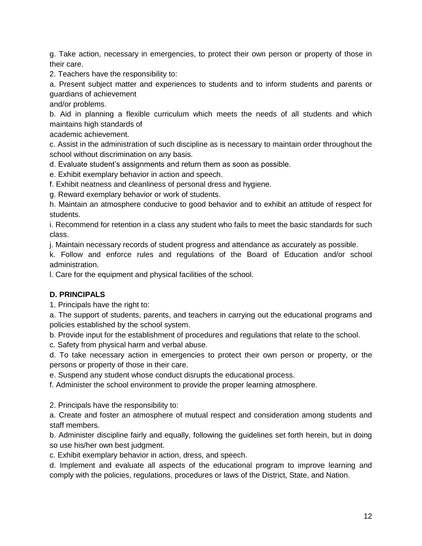g. Take action, necessary in emergencies, to protect their own person or property of those in their care.

2. Teachers have the responsibility to:

a. Present subject matter and experiences to students and to inform students and parents or guardians of achievement

and/or problems.

b. Aid in planning a flexible curriculum which meets the needs of all students and which maintains high standards of

academic achievement.

c. Assist in the administration of such discipline as is necessary to maintain order throughout the school without discrimination on any basis.

d. Evaluate student's assignments and return them as soon as possible.

e. Exhibit exemplary behavior in action and speech.

f. Exhibit neatness and cleanliness of personal dress and hygiene.

g. Reward exemplary behavior or work of students.

h. Maintain an atmosphere conducive to good behavior and to exhibit an attitude of respect for students.

i. Recommend for retention in a class any student who fails to meet the basic standards for such class.

j. Maintain necessary records of student progress and attendance as accurately as possible.

k. Follow and enforce rules and regulations of the Board of Education and/or school administration.

l. Care for the equipment and physical facilities of the school.

# **D. PRINCIPALS**

1. Principals have the right to:

a. The support of students, parents, and teachers in carrying out the educational programs and policies established by the school system.

b. Provide input for the establishment of procedures and regulations that relate to the school.

c. Safety from physical harm and verbal abuse.

d. To take necessary action in emergencies to protect their own person or property, or the persons or property of those in their care.

e. Suspend any student whose conduct disrupts the educational process.

f. Administer the school environment to provide the proper learning atmosphere.

2. Principals have the responsibility to:

a. Create and foster an atmosphere of mutual respect and consideration among students and staff members.

b. Administer discipline fairly and equally, following the guidelines set forth herein, but in doing so use his/her own best judgment.

c. Exhibit exemplary behavior in action, dress, and speech.

d. Implement and evaluate all aspects of the educational program to improve learning and comply with the policies, regulations, procedures or laws of the District, State, and Nation.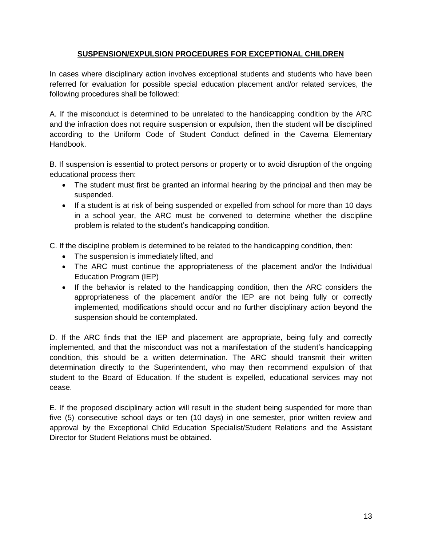## **SUSPENSION/EXPULSION PROCEDURES FOR EXCEPTIONAL CHILDREN**

In cases where disciplinary action involves exceptional students and students who have been referred for evaluation for possible special education placement and/or related services, the following procedures shall be followed:

A. If the misconduct is determined to be unrelated to the handicapping condition by the ARC and the infraction does not require suspension or expulsion, then the student will be disciplined according to the Uniform Code of Student Conduct defined in the Caverna Elementary Handbook.

B. If suspension is essential to protect persons or property or to avoid disruption of the ongoing educational process then:

- The student must first be granted an informal hearing by the principal and then may be suspended.
- If a student is at risk of being suspended or expelled from school for more than 10 days in a school year, the ARC must be convened to determine whether the discipline problem is related to the student's handicapping condition.

C. If the discipline problem is determined to be related to the handicapping condition, then:

- The suspension is immediately lifted, and
- The ARC must continue the appropriateness of the placement and/or the Individual Education Program (IEP)
- If the behavior is related to the handicapping condition, then the ARC considers the appropriateness of the placement and/or the IEP are not being fully or correctly implemented, modifications should occur and no further disciplinary action beyond the suspension should be contemplated.

D. If the ARC finds that the IEP and placement are appropriate, being fully and correctly implemented, and that the misconduct was not a manifestation of the student's handicapping condition, this should be a written determination. The ARC should transmit their written determination directly to the Superintendent, who may then recommend expulsion of that student to the Board of Education. If the student is expelled, educational services may not cease.

E. If the proposed disciplinary action will result in the student being suspended for more than five (5) consecutive school days or ten (10 days) in one semester, prior written review and approval by the Exceptional Child Education Specialist/Student Relations and the Assistant Director for Student Relations must be obtained.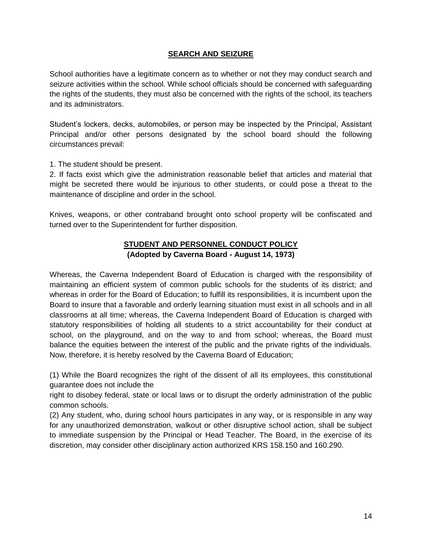## **SEARCH AND SEIZURE**

School authorities have a legitimate concern as to whether or not they may conduct search and seizure activities within the school. While school officials should be concerned with safeguarding the rights of the students, they must also be concerned with the rights of the school, its teachers and its administrators.

Student's lockers, decks, automobiles, or person may be inspected by the Principal, Assistant Principal and/or other persons designated by the school board should the following circumstances prevail:

1. The student should be present.

2. If facts exist which give the administration reasonable belief that articles and material that might be secreted there would be injurious to other students, or could pose a threat to the maintenance of discipline and order in the school.

Knives, weapons, or other contraband brought onto school property will be confiscated and turned over to the Superintendent for further disposition.

## **STUDENT AND PERSONNEL CONDUCT POLICY (Adopted by Caverna Board - August 14, 1973)**

Whereas, the Caverna Independent Board of Education is charged with the responsibility of maintaining an efficient system of common public schools for the students of its district; and whereas in order for the Board of Education; to fulfill its responsibilities, it is incumbent upon the Board to insure that a favorable and orderly learning situation must exist in all schools and in all classrooms at all time; whereas, the Caverna Independent Board of Education is charged with statutory responsibilities of holding all students to a strict accountability for their conduct at school, on the playground, and on the way to and from school; whereas, the Board must balance the equities between the interest of the public and the private rights of the individuals. Now, therefore, it is hereby resolved by the Caverna Board of Education;

(1) While the Board recognizes the right of the dissent of all its employees, this constitutional guarantee does not include the

right to disobey federal, state or local laws or to disrupt the orderly administration of the public common schools.

(2) Any student, who, during school hours participates in any way, or is responsible in any way for any unauthorized demonstration, walkout or other disruptive school action, shall be subject to immediate suspension by the Principal or Head Teacher. The Board, in the exercise of its discretion, may consider other disciplinary action authorized KRS 158.150 and 160.290.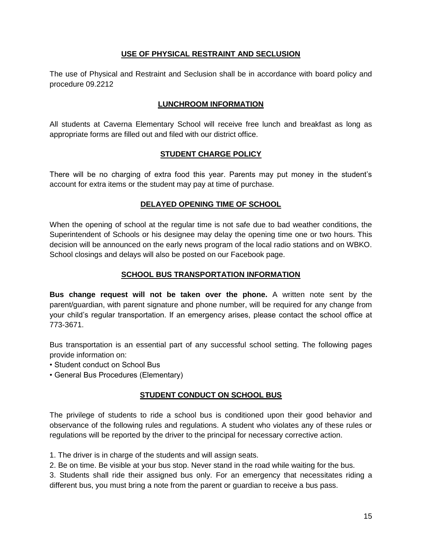## **USE OF PHYSICAL RESTRAINT AND SECLUSION**

The use of Physical and Restraint and Seclusion shall be in accordance with board policy and procedure 09.2212

## **LUNCHROOM INFORMATION**

All students at Caverna Elementary School will receive free lunch and breakfast as long as appropriate forms are filled out and filed with our district office.

# **STUDENT CHARGE POLICY**

There will be no charging of extra food this year. Parents may put money in the student's account for extra items or the student may pay at time of purchase.

# **DELAYED OPENING TIME OF SCHOOL**

When the opening of school at the regular time is not safe due to bad weather conditions, the Superintendent of Schools or his designee may delay the opening time one or two hours. This decision will be announced on the early news program of the local radio stations and on WBKO. School closings and delays will also be posted on our Facebook page.

# **SCHOOL BUS TRANSPORTATION INFORMATION**

**Bus change request will not be taken over the phone.** A written note sent by the parent/guardian, with parent signature and phone number, will be required for any change from your child's regular transportation. If an emergency arises, please contact the school office at 773-3671.

Bus transportation is an essential part of any successful school setting. The following pages provide information on:

- Student conduct on School Bus
- General Bus Procedures (Elementary)

# **STUDENT CONDUCT ON SCHOOL BUS**

The privilege of students to ride a school bus is conditioned upon their good behavior and observance of the following rules and regulations. A student who violates any of these rules or regulations will be reported by the driver to the principal for necessary corrective action.

1. The driver is in charge of the students and will assign seats.

2. Be on time. Be visible at your bus stop. Never stand in the road while waiting for the bus.

3. Students shall ride their assigned bus only. For an emergency that necessitates riding a different bus, you must bring a note from the parent or guardian to receive a bus pass.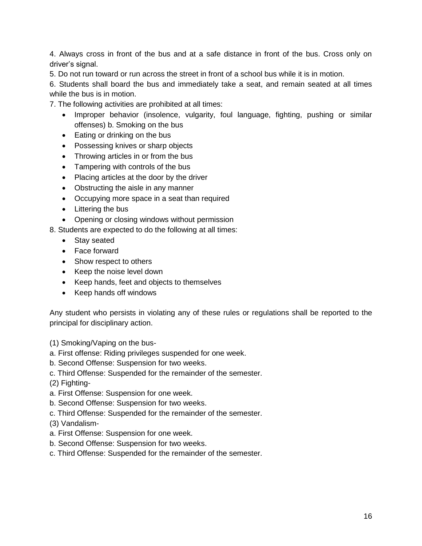4. Always cross in front of the bus and at a safe distance in front of the bus. Cross only on driver's signal.

5. Do not run toward or run across the street in front of a school bus while it is in motion.

6. Students shall board the bus and immediately take a seat, and remain seated at all times while the bus is in motion.

7. The following activities are prohibited at all times:

- Improper behavior (insolence, vulgarity, foul language, fighting, pushing or similar offenses) b. Smoking on the bus
- Eating or drinking on the bus
- Possessing knives or sharp objects
- Throwing articles in or from the bus
- Tampering with controls of the bus
- Placing articles at the door by the driver
- Obstructing the aisle in any manner
- Occupying more space in a seat than required
- Littering the bus
- Opening or closing windows without permission

8. Students are expected to do the following at all times:

- Stay seated
- Face forward
- Show respect to others
- Keep the noise level down
- Keep hands, feet and objects to themselves
- Keep hands off windows

Any student who persists in violating any of these rules or regulations shall be reported to the principal for disciplinary action.

(1) Smoking/Vaping on the bus-

- a. First offense: Riding privileges suspended for one week.
- b. Second Offense: Suspension for two weeks.
- c. Third Offense: Suspended for the remainder of the semester.
- (2) Fighting-
- a. First Offense: Suspension for one week.
- b. Second Offense: Suspension for two weeks.
- c. Third Offense: Suspended for the remainder of the semester.
- (3) Vandalism-
- a. First Offense: Suspension for one week.
- b. Second Offense: Suspension for two weeks.
- c. Third Offense: Suspended for the remainder of the semester.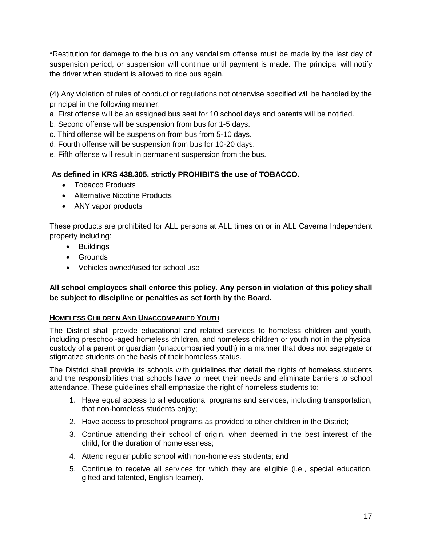\*Restitution for damage to the bus on any vandalism offense must be made by the last day of suspension period, or suspension will continue until payment is made. The principal will notify the driver when student is allowed to ride bus again.

(4) Any violation of rules of conduct or regulations not otherwise specified will be handled by the principal in the following manner:

a. First offense will be an assigned bus seat for 10 school days and parents will be notified.

- b. Second offense will be suspension from bus for 1-5 days.
- c. Third offense will be suspension from bus from 5-10 days.
- d. Fourth offense will be suspension from bus for 10-20 days.
- e. Fifth offense will result in permanent suspension from the bus.

# **As defined in KRS 438.305, strictly PROHIBITS the use of TOBACCO.**

- Tobacco Products
- Alternative Nicotine Products
- ANY vapor products

These products are prohibited for ALL persons at ALL times on or in ALL Caverna Independent property including:

- Buildings
- Grounds
- Vehicles owned/used for school use

# **All school employees shall enforce this policy. Any person in violation of this policy shall be subject to discipline or penalties as set forth by the Board.**

# **HOMELESS CHILDREN AND UNACCOMPANIED YOUTH**

The District shall provide educational and related services to homeless children and youth, including preschool-aged homeless children, and homeless children or youth not in the physical custody of a parent or guardian (unaccompanied youth) in a manner that does not segregate or stigmatize students on the basis of their homeless status.

The District shall provide its schools with guidelines that detail the rights of homeless students and the responsibilities that schools have to meet their needs and eliminate barriers to school attendance. These guidelines shall emphasize the right of homeless students to:

- 1. Have equal access to all educational programs and services, including transportation, that non-homeless students enjoy;
- 2. Have access to preschool programs as provided to other children in the District;
- 3. Continue attending their school of origin, when deemed in the best interest of the child, for the duration of homelessness;
- 4. Attend regular public school with non-homeless students; and
- 5. Continue to receive all services for which they are eligible (i.e., special education, gifted and talented, English learner).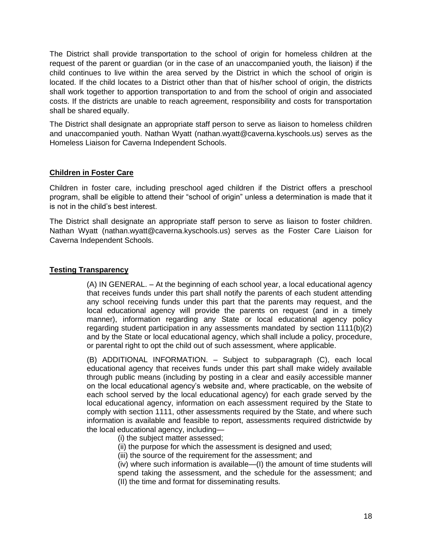The District shall provide transportation to the school of origin for homeless children at the request of the parent or guardian (or in the case of an unaccompanied youth, the liaison) if the child continues to live within the area served by the District in which the school of origin is located. If the child locates to a District other than that of his/her school of origin, the districts shall work together to apportion transportation to and from the school of origin and associated costs. If the districts are unable to reach agreement, responsibility and costs for transportation shall be shared equally.

The District shall designate an appropriate staff person to serve as liaison to homeless children and unaccompanied youth. Nathan Wyatt (nathan.wyatt@caverna.kyschools.us) serves as the Homeless Liaison for Caverna Independent Schools.

### **Children in Foster Care**

Children in foster care, including preschool aged children if the District offers a preschool program, shall be eligible to attend their "school of origin" unless a determination is made that it is not in the child's best interest.

The District shall designate an appropriate staff person to serve as liaison to foster children. Nathan Wyatt (nathan.wyatt@caverna.kyschools.us) serves as the Foster Care Liaison for Caverna Independent Schools.

## **Testing Transparency**

(A) IN GENERAL. – At the beginning of each school year, a local educational agency that receives funds under this part shall notify the parents of each student attending any school receiving funds under this part that the parents may request, and the local educational agency will provide the parents on request (and in a timely manner), information regarding any State or local educational agency policy regarding student participation in any assessments mandated by section 1111(b)(2) and by the State or local educational agency, which shall include a policy, procedure, or parental right to opt the child out of such assessment, where applicable.

(B) ADDITIONAL INFORMATION. – Subject to subparagraph (C), each local educational agency that receives funds under this part shall make widely available through public means (including by posting in a clear and easily accessible manner on the local educational agency's website and, where practicable, on the website of each school served by the local educational agency) for each grade served by the local educational agency, information on each assessment required by the State to comply with section 1111, other assessments required by the State, and where such information is available and feasible to report, assessments required districtwide by the local educational agency, including—

- (i) the subject matter assessed;
- (ii) the purpose for which the assessment is designed and used;
- (iii) the source of the requirement for the assessment; and

(iv) where such information is available—(I) the amount of time students will spend taking the assessment, and the schedule for the assessment; and (II) the time and format for disseminating results.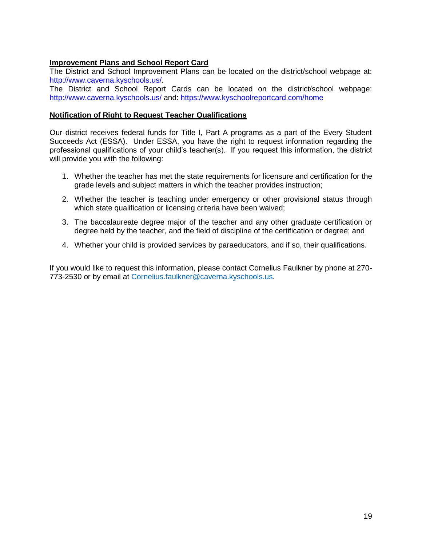## **Improvement Plans and School Report Card**

The District and School Improvement Plans can be located on the district/school webpage at: [http://www.caverna.kyschools.us/.](http://www.caverna.kyschools.us/)

The District and School Report Cards can be located on the district/school webpage: <http://www.caverna.kyschools.us/> and:<https://www.kyschoolreportcard.com/home>

#### **Notification of Right to Request Teacher Qualifications**

Our district receives federal funds for Title I, Part A programs as a part of the Every Student Succeeds Act (ESSA). Under ESSA, you have the right to request information regarding the professional qualifications of your child's teacher(s). If you request this information, the district will provide you with the following:

- 1. Whether the teacher has met the state requirements for licensure and certification for the grade levels and subject matters in which the teacher provides instruction;
- 2. Whether the teacher is teaching under emergency or other provisional status through which state qualification or licensing criteria have been waived;
- 3. The baccalaureate degree major of the teacher and any other graduate certification or degree held by the teacher, and the field of discipline of the certification or degree; and
- 4. Whether your child is provided services by paraeducators, and if so, their qualifications.

If you would like to request this information, please contact Cornelius Faulkner by phone at 270- 773-2530 or by email at [Cornelius.faulkner@caverna.kyschools.us.](mailto:Cornelius.faulkner@caverna.kyschools.us)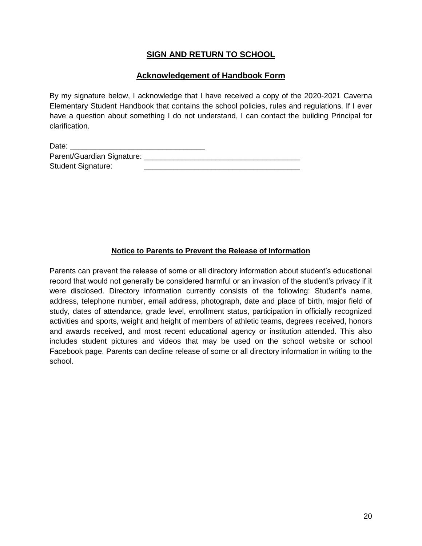# **SIGN AND RETURN TO SCHOOL**

# **Acknowledgement of Handbook Form**

By my signature below, I acknowledge that I have received a copy of the 2020-2021 Caverna Elementary Student Handbook that contains the school policies, rules and regulations. If I ever have a question about something I do not understand, I can contact the building Principal for clarification.

| Date:                      |  |
|----------------------------|--|
| Parent/Guardian Signature: |  |
| <b>Student Signature:</b>  |  |

## **Notice to Parents to Prevent the Release of Information**

Parents can prevent the release of some or all directory information about student's educational record that would not generally be considered harmful or an invasion of the student's privacy if it were disclosed. Directory information currently consists of the following: Student's name, address, telephone number, email address, photograph, date and place of birth, major field of study, dates of attendance, grade level, enrollment status, participation in officially recognized activities and sports, weight and height of members of athletic teams, degrees received, honors and awards received, and most recent educational agency or institution attended. This also includes student pictures and videos that may be used on the school website or school Facebook page. Parents can decline release of some or all directory information in writing to the school.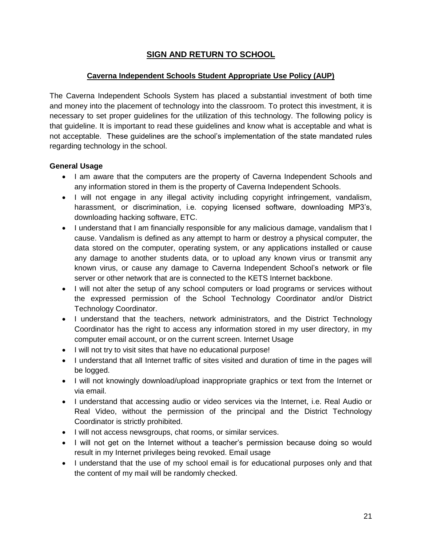# **SIGN AND RETURN TO SCHOOL**

# **Caverna Independent Schools Student Appropriate Use Policy (AUP)**

The Caverna Independent Schools System has placed a substantial investment of both time and money into the placement of technology into the classroom. To protect this investment, it is necessary to set proper guidelines for the utilization of this technology. The following policy is that guideline. It is important to read these guidelines and know what is acceptable and what is not acceptable. These guidelines are the school's implementation of the state mandated rules regarding technology in the school.

# **General Usage**

- I am aware that the computers are the property of Caverna Independent Schools and any information stored in them is the property of Caverna Independent Schools.
- I will not engage in any illegal activity including copyright infringement, vandalism, harassment, or discrimination, i.e. copying licensed software, downloading MP3's, downloading hacking software, ETC.
- I understand that I am financially responsible for any malicious damage, vandalism that I cause. Vandalism is defined as any attempt to harm or destroy a physical computer, the data stored on the computer, operating system, or any applications installed or cause any damage to another students data, or to upload any known virus or transmit any known virus, or cause any damage to Caverna Independent School's network or file server or other network that are is connected to the KETS Internet backbone.
- I will not alter the setup of any school computers or load programs or services without the expressed permission of the School Technology Coordinator and/or District Technology Coordinator.
- I understand that the teachers, network administrators, and the District Technology Coordinator has the right to access any information stored in my user directory, in my computer email account, or on the current screen. Internet Usage
- I will not try to visit sites that have no educational purpose!
- I understand that all Internet traffic of sites visited and duration of time in the pages will be logged.
- I will not knowingly download/upload inappropriate graphics or text from the Internet or via email.
- I understand that accessing audio or video services via the Internet, i.e. Real Audio or Real Video, without the permission of the principal and the District Technology Coordinator is strictly prohibited.
- $\bullet$  I will not access newsgroups, chat rooms, or similar services.
- I will not get on the Internet without a teacher's permission because doing so would result in my Internet privileges being revoked. Email usage
- I understand that the use of my school email is for educational purposes only and that the content of my mail will be randomly checked.